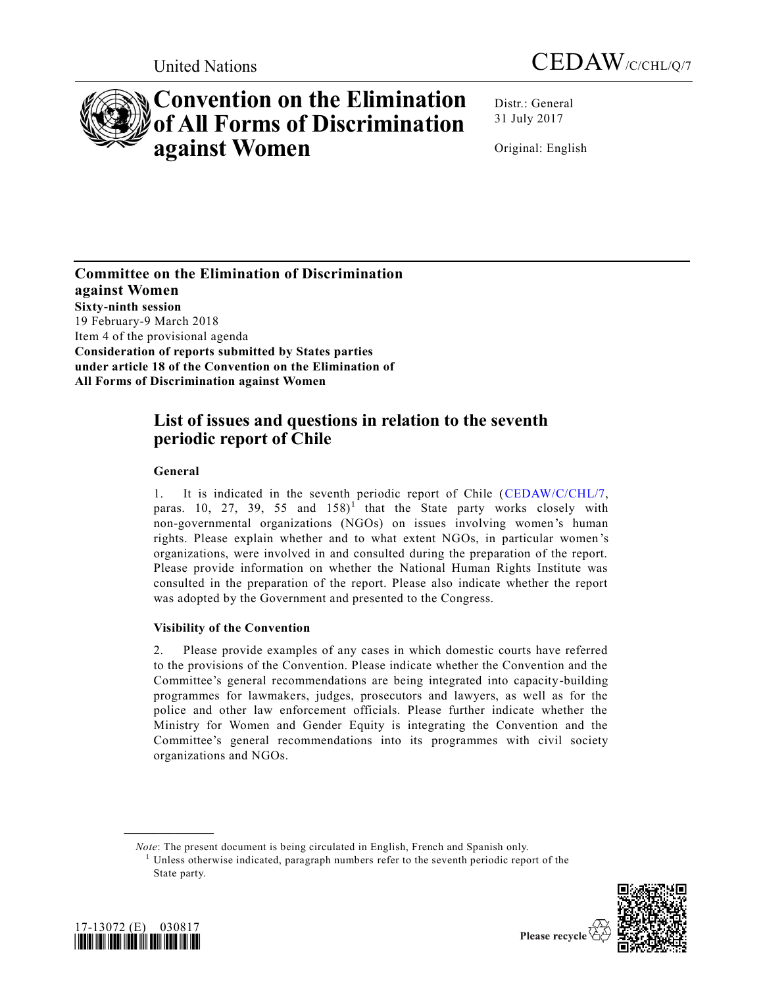



# **Convention on the Elimination of All Forms of Discrimination against Women**

Distr.: General 31 July 2017

Original: English

**Committee on the Elimination of Discrimination against Women Sixty-ninth session** 19 February-9 March 2018 Item 4 of the provisional agenda **Consideration of reports submitted by States parties under article 18 of the Convention on the Elimination of All Forms of Discrimination against Women**

# **List of issues and questions in relation to the seventh periodic report of Chile**

# **General**

1. It is indicated in the seventh periodic report of Chile [\(CEDAW/C/CHL/7,](https://undocs.org/CEDAW/C/CHL/7) paras. 10, 27, 39, 55 and  $158$ <sup>1</sup> that the State party works closely with non-governmental organizations (NGOs) on issues involving women's human rights. Please explain whether and to what extent NGOs, in particular women 's organizations, were involved in and consulted during the preparation of the report. Please provide information on whether the National Human Rights Institute was consulted in the preparation of the report. Please also indicate whether the report was adopted by the Government and presented to the Congress.

# **Visibility of the Convention**

2. Please provide examples of any cases in which domestic courts have referred to the provisions of the Convention. Please indicate whether the Convention and the Committee's general recommendations are being integrated into capacity-building programmes for lawmakers, judges, prosecutors and lawyers, as well as for the police and other law enforcement officials. Please further indicate whether the Ministry for Women and Gender Equity is integrating the Convention and the Committee's general recommendations into its programmes with civil society organizations and NGOs.

*Note*: The present document is being circulated in English, French and Spanish only. <sup>1</sup> Unless otherwise indicated, paragraph numbers refer to the seventh periodic report of the State party.





**\_\_\_\_\_\_\_\_\_\_\_\_\_\_\_\_\_\_**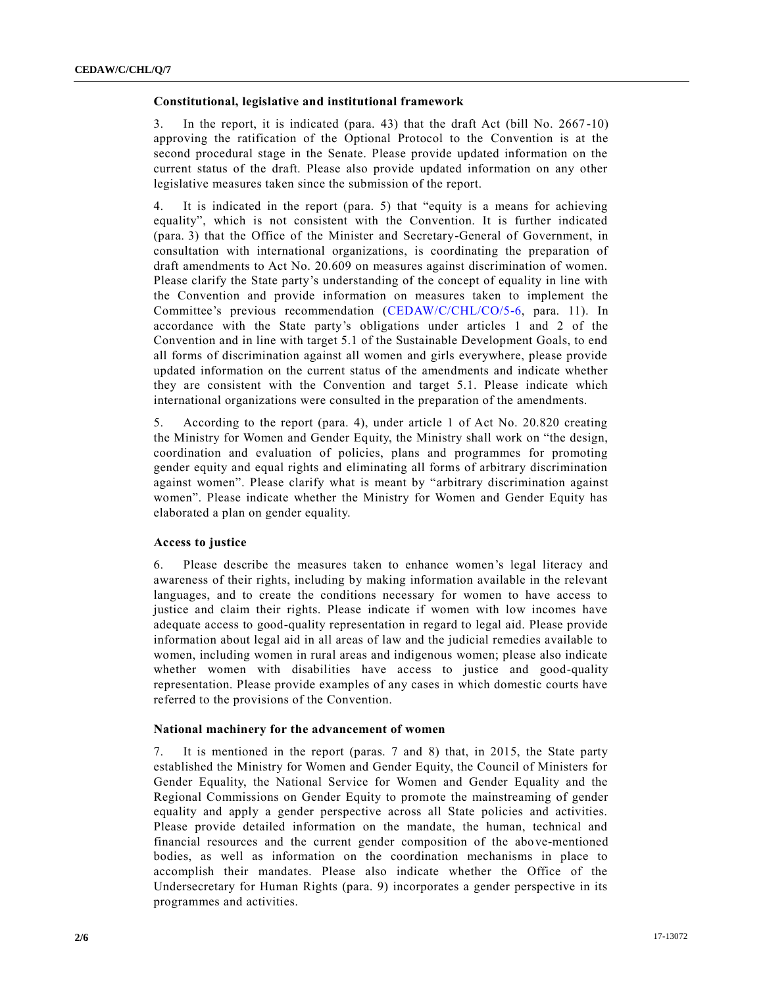#### **Constitutional, legislative and institutional framework**

3. In the report, it is indicated (para. 43) that the draft Act (bill No. 2667 -10) approving the ratification of the Optional Protocol to the Convention is at the second procedural stage in the Senate. Please provide updated information on the current status of the draft. Please also provide updated information on any other legislative measures taken since the submission of the report.

4. It is indicated in the report (para. 5) that "equity is a means for achieving equality", which is not consistent with the Convention. It is further indicated (para. 3) that the Office of the Minister and Secretary-General of Government, in consultation with international organizations, is coordinating the preparation of draft amendments to Act No. 20.609 on measures against discrimination of women. Please clarify the State party's understanding of the concept of equality in line with the Convention and provide information on measures taken to implement the Committee's previous recommendation [\(CEDAW/C/CHL/CO/5-6,](https://undocs.org/CEDAW/C/CHL/CO/5) para. 11). In accordance with the State party's obligations under articles 1 and 2 of the Convention and in line with target 5.1 of the Sustainable Development Goals, to end all forms of discrimination against all women and girls everywhere, please provide updated information on the current status of the amendments and indicate whether they are consistent with the Convention and target 5.1. Please indicate which international organizations were consulted in the preparation of the amendments.

5. According to the report (para. 4), under article 1 of Act No. 20.820 creating the Ministry for Women and Gender Equity, the Ministry shall work on "the design, coordination and evaluation of policies, plans and programmes for promoting gender equity and equal rights and eliminating all forms of arbitrary discrimination against women". Please clarify what is meant by "arbitrary discrimination against women". Please indicate whether the Ministry for Women and Gender Equity has elaborated a plan on gender equality.

#### **Access to justice**

6. Please describe the measures taken to enhance women's legal literacy and awareness of their rights, including by making information available in the relevant languages, and to create the conditions necessary for women to have access to justice and claim their rights. Please indicate if women with low incomes have adequate access to good-quality representation in regard to legal aid. Please provide information about legal aid in all areas of law and the judicial remedies available to women, including women in rural areas and indigenous women; please also indicate whether women with disabilities have access to justice and good-quality representation. Please provide examples of any cases in which domestic courts have referred to the provisions of the Convention.

#### **National machinery for the advancement of women**

7. It is mentioned in the report (paras. 7 and 8) that, in 2015, the State party established the Ministry for Women and Gender Equity, the Council of Ministers for Gender Equality, the National Service for Women and Gender Equality and the Regional Commissions on Gender Equity to promote the mainstreaming of gender equality and apply a gender perspective across all State policies and activities. Please provide detailed information on the mandate, the human, technical and financial resources and the current gender composition of the above-mentioned bodies, as well as information on the coordination mechanisms in place to accomplish their mandates. Please also indicate whether the Office of the Undersecretary for Human Rights (para. 9) incorporates a gender perspective in its programmes and activities.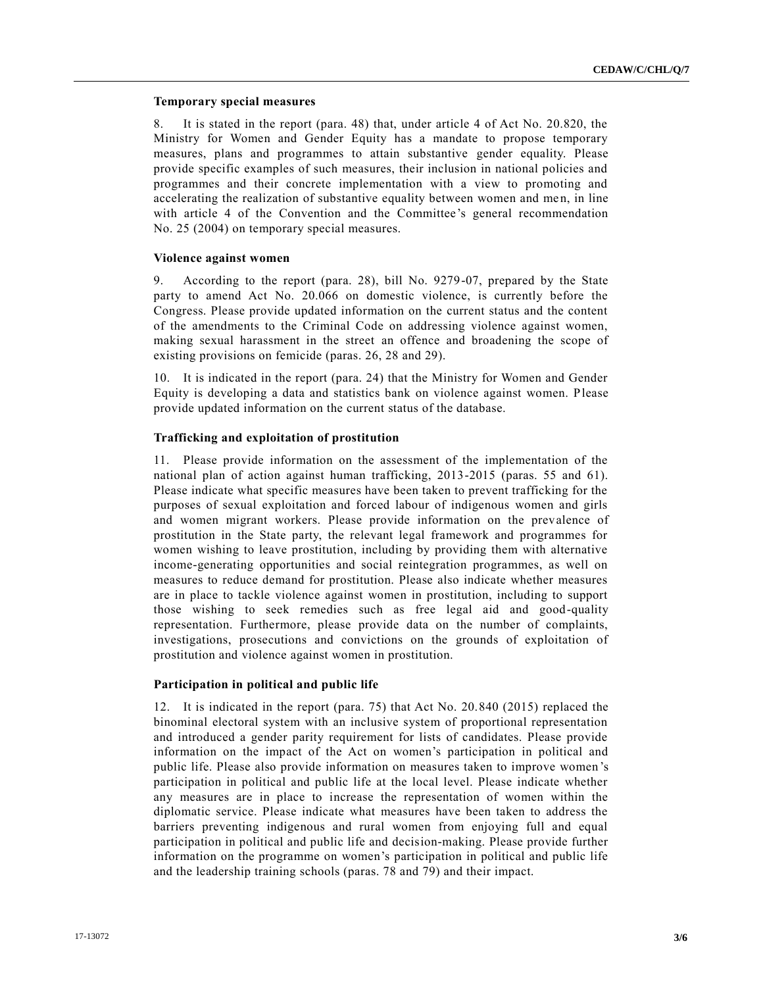#### **Temporary special measures**

8. It is stated in the report (para. 48) that, under article 4 of Act No. 20.820, the Ministry for Women and Gender Equity has a mandate to propose temporary measures, plans and programmes to attain substantive gender equality. Please provide specific examples of such measures, their inclusion in national policies and programmes and their concrete implementation with a view to promoting and accelerating the realization of substantive equality between women and men, in line with article 4 of the Convention and the Committee's general recommendation No. 25 (2004) on temporary special measures.

#### **Violence against women**

9. According to the report (para. 28), bill No. 9279-07, prepared by the State party to amend Act No. 20.066 on domestic violence, is currently before the Congress. Please provide updated information on the current status and the content of the amendments to the Criminal Code on addressing violence against women, making sexual harassment in the street an offence and broadening the scope of existing provisions on femicide (paras. 26, 28 and 29).

10. It is indicated in the report (para. 24) that the Ministry for Women and Gender Equity is developing a data and statistics bank on violence against women. Please provide updated information on the current status of the database.

# **Trafficking and exploitation of prostitution**

11. Please provide information on the assessment of the implementation of the national plan of action against human trafficking, 2013-2015 (paras. 55 and 61). Please indicate what specific measures have been taken to prevent trafficking for the purposes of sexual exploitation and forced labour of indigenous women and girls and women migrant workers. Please provide information on the prevalence of prostitution in the State party, the relevant legal framework and programmes for women wishing to leave prostitution, including by providing them with alternative income-generating opportunities and social reintegration programmes, as well on measures to reduce demand for prostitution. Please also indicate whether measures are in place to tackle violence against women in prostitution, including to support those wishing to seek remedies such as free legal aid and good-quality representation. Furthermore, please provide data on the number of complaints, investigations, prosecutions and convictions on the grounds of exploitation of prostitution and violence against women in prostitution.

# **Participation in political and public life**

12. It is indicated in the report (para. 75) that Act No. 20.840 (2015) replaced the binominal electoral system with an inclusive system of proportional representation and introduced a gender parity requirement for lists of candidates. Please provide information on the impact of the Act on women's participation in political and public life. Please also provide information on measures taken to improve women 's participation in political and public life at the local level. Please indicate whether any measures are in place to increase the representation of women within the diplomatic service. Please indicate what measures have been taken to address the barriers preventing indigenous and rural women from enjoying full and equal participation in political and public life and decision-making. Please provide further information on the programme on women's participation in political and public life and the leadership training schools (paras. 78 and 79) and their impact.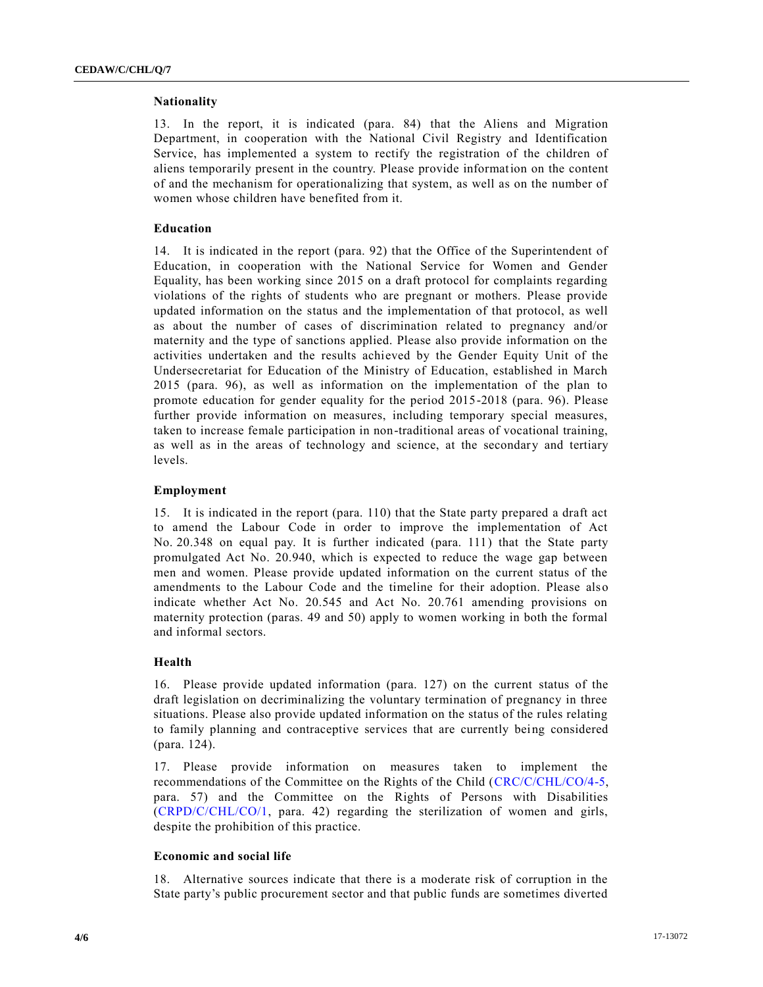#### **Nationality**

13. In the report, it is indicated (para. 84) that the Aliens and Migration Department, in cooperation with the National Civil Registry and Identification Service, has implemented a system to rectify the registration of the children of aliens temporarily present in the country. Please provide information on the content of and the mechanism for operationalizing that system, as well as on the number of women whose children have benefited from it.

### **Education**

14. It is indicated in the report (para. 92) that the Office of the Superintendent of Education, in cooperation with the National Service for Women and Gender Equality, has been working since 2015 on a draft protocol for complaints regarding violations of the rights of students who are pregnant or mothers. Please provide updated information on the status and the implementation of that protocol, as well as about the number of cases of discrimination related to pregnancy and/or maternity and the type of sanctions applied. Please also provide information on the activities undertaken and the results achieved by the Gender Equity Unit of the Undersecretariat for Education of the Ministry of Education, established in March 2015 (para. 96), as well as information on the implementation of the plan to promote education for gender equality for the period 2015-2018 (para. 96). Please further provide information on measures, including temporary special measures, taken to increase female participation in non-traditional areas of vocational training, as well as in the areas of technology and science, at the secondary and tertiary levels.

#### **Employment**

15. It is indicated in the report (para. 110) that the State party prepared a draft act to amend the Labour Code in order to improve the implementation of Act No. 20.348 on equal pay. It is further indicated (para. 111) that the State party promulgated Act No. 20.940, which is expected to reduce the wage gap between men and women. Please provide updated information on the current status of the amendments to the Labour Code and the timeline for their adoption. Please also indicate whether Act No. 20.545 and Act No. 20.761 amending provisions on maternity protection (paras. 49 and 50) apply to women working in both the formal and informal sectors.

#### **Health**

16. Please provide updated information (para. 127) on the current status of the draft legislation on decriminalizing the voluntary termination of pregnancy in three situations. Please also provide updated information on the status of the rules relating to family planning and contraceptive services that are currently being considered (para. 124).

17. Please provide information on measures taken to implement the recommendations of the Committee on the Rights of the Child [\(CRC/C/CHL/CO/4-5,](https://undocs.org/CRC/C/CHL/CO/4) para. 57) and the Committee on the Rights of Persons with Disabilities [\(CRPD/C/CHL/CO/1,](https://undocs.org/CRPD/C/CHL/CO/1) para. 42) regarding the sterilization of women and girls, despite the prohibition of this practice.

#### **Economic and social life**

18. Alternative sources indicate that there is a moderate risk of corruption in the State party's public procurement sector and that public funds are sometimes diverted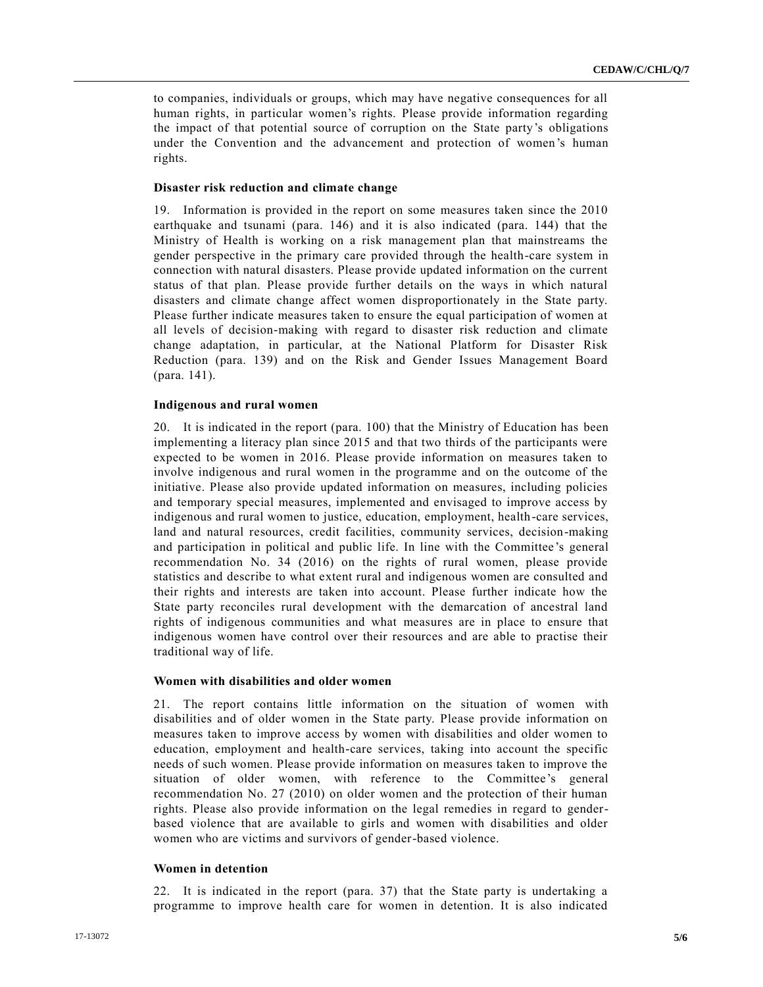to companies, individuals or groups, which may have negative consequences for all human rights, in particular women's rights. Please provide information regarding the impact of that potential source of corruption on the State party's obligations under the Convention and the advancement and protection of women's human rights.

#### **Disaster risk reduction and climate change**

19. Information is provided in the report on some measures taken since the 2010 earthquake and tsunami (para. 146) and it is also indicated (para. 144) that the Ministry of Health is working on a risk management plan that mainstreams the gender perspective in the primary care provided through the health-care system in connection with natural disasters. Please provide updated information on the current status of that plan. Please provide further details on the ways in which natural disasters and climate change affect women disproportionately in the State party. Please further indicate measures taken to ensure the equal participation of women at all levels of decision-making with regard to disaster risk reduction and climate change adaptation, in particular, at the National Platform for Disaster Risk Reduction (para. 139) and on the Risk and Gender Issues Management Board (para. 141).

#### **Indigenous and rural women**

20. It is indicated in the report (para. 100) that the Ministry of Education has been implementing a literacy plan since 2015 and that two thirds of the participants were expected to be women in 2016. Please provide information on measures taken to involve indigenous and rural women in the programme and on the outcome of the initiative. Please also provide updated information on measures, including policies and temporary special measures, implemented and envisaged to improve access by indigenous and rural women to justice, education, employment, health-care services, land and natural resources, credit facilities, community services, decision-making and participation in political and public life. In line with the Committee 's general recommendation No. 34 (2016) on the rights of rural women, please provide statistics and describe to what extent rural and indigenous women are consulted and their rights and interests are taken into account. Please further indicate how the State party reconciles rural development with the demarcation of ancestral land rights of indigenous communities and what measures are in place to ensure that indigenous women have control over their resources and are able to practise their traditional way of life.

# **Women with disabilities and older women**

21. The report contains little information on the situation of women with disabilities and of older women in the State party. Please provide information on measures taken to improve access by women with disabilities and older women to education, employment and health-care services, taking into account the specific needs of such women. Please provide information on measures taken to improve the situation of older women, with reference to the Committee's general recommendation No. 27 (2010) on older women and the protection of their human rights. Please also provide information on the legal remedies in regard to genderbased violence that are available to girls and women with disabilities and older women who are victims and survivors of gender-based violence.

#### **Women in detention**

22. It is indicated in the report (para. 37) that the State party is undertaking a programme to improve health care for women in detention. It is also indicated